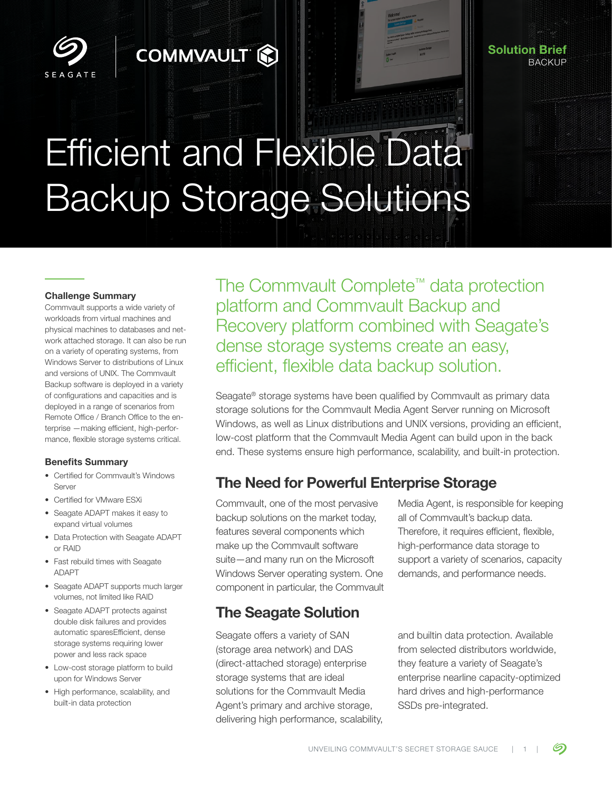

#### Solution Brief BACKUP

# Efficient and Flexible Data Backup Storage Solutions

**COMMVAULT &** 

#### Challenge Summary

Commvault supports a wide variety of workloads from virtual machines and physical machines to databases and network attached storage. It can also be run on a variety of operating systems, from Windows Server to distributions of Linux and versions of UNIX. The Commvault Backup software is deployed in a variety of configurations and capacities and is deployed in a range of scenarios from Remote Office / Branch Office to the enterprise —making efficient, high-performance, flexible storage systems critical.

#### Benefits Summary

- Certified for Commvault's Windows Server
- Certified for VMware ESXi
- Seagate ADAPT makes it easy to expand virtual volumes
- Data Protection with Seagate ADAPT or RAID
- Fast rebuild times with Seagate ADAPT
- Seagate ADAPT supports much larger volumes, not limited like RAID
- Seagate ADAPT protects against double disk failures and provides automatic sparesEfficient, dense storage systems requiring lower power and less rack space
- Low-cost storage platform to build upon for Windows Server
- High performance, scalability, and built-in data protection

The Commvault Complete™ data protection platform and Commvault Backup and Recovery platform combined with Seagate's dense storage systems create an easy, efficient, flexible data backup solution.

Seagate® storage systems have been qualified by Commvault as primary data storage solutions for the Commvault Media Agent Server running on Microsoft Windows, as well as Linux distributions and UNIX versions, providing an efficient, low-cost platform that the Commvault Media Agent can build upon in the back end. These systems ensure high performance, scalability, and built-in protection.

## The Need for Powerful Enterprise Storage

Commvault, one of the most pervasive backup solutions on the market today, features several components which make up the Commvault software suite—and many run on the Microsoft Windows Server operating system. One component in particular, the Commvault

## The Seagate Solution

Seagate offers a variety of SAN (storage area network) and DAS (direct-attached storage) enterprise storage systems that are ideal solutions for the Commvault Media Agent's primary and archive storage, delivering high performance, scalability, Media Agent, is responsible for keeping all of Commvault's backup data. Therefore, it requires efficient, flexible, high-performance data storage to support a variety of scenarios, capacity demands, and performance needs.

and builtin data protection. Available from selected distributors worldwide, they feature a variety of Seagate's enterprise nearline capacity-optimized hard drives and high-performance SSDs pre-integrated.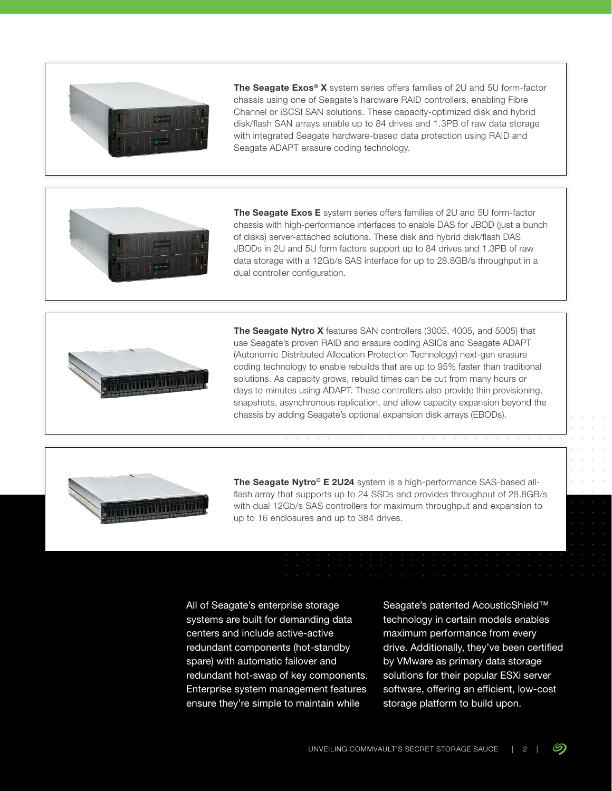

The Seagate Exos® X system series offers families of 2U and 5U form-factor chassis using one of Seagate's hardware RAID controllers, enabling Fibre Channel or iSCSI SAN solutions. These capacity-optimized disk and hybrid disk/flash SAN arrays enable up to 84 drives and 1.3PB of raw data storage with integrated Seagate hardware-based data protection using RAID and Seagate ADAPT erasure coding technology.



The Seagate Exos E system series offers families of 2U and 5U form-factor chassis with high-performance interfaces to enable DAS for JBOD (just a bunch of disks) server-attached solutions. These disk and hybrid disk/flash DAS JBODs in 2U and 5U form factors support up to 84 drives and 1.3PB of raw data storage with a 12Gb/s SAS interface for up to 28.8GB/s throughput in a dual controller configuration.



The Seagate Nytro X features SAN controllers (3005, 4005, and 5005) that use Seagate's proven RAID and erasure coding ASICs and Seagate ADAPT (Autonomic Distributed Allocation Protection Technology) next-gen erasure coding technology to enable rebuilds that are up to 95% faster than traditional solutions. As capacity grows, rebuild times can be cut from many hours or days to minutes using ADAPT. These controllers also provide thin provisioning, snapshots, asynchronous replication, and allow capacity expansion beyond the chassis by adding Seagate's optional expansion disk arrays (EBODs).



The Seagate Nytro<sup>®</sup> E 2U24 system is a high-performance SAS-based allflash array that supports up to 24 SSDs and provides throughput of 28.8GB/s with dual 12Gb/s SAS controllers for maximum throughput and expansion to up to 16 enclosures and up to 384 drives.

All of Seagate's enterprise storage systems are built for demanding data centers and include active-active redundant components (hot-standby spare) with automatic failover and redundant hot-swap of key components. Enterprise system management features ensure they're simple to maintain while

Seagate's patented AcousticShield™ technology in certain models enables maximum performance from every drive. Additionally, they've been certified by VMware as primary data storage solutions for their popular ESXi server software, offering an efficient, low-cost storage platform to build upon.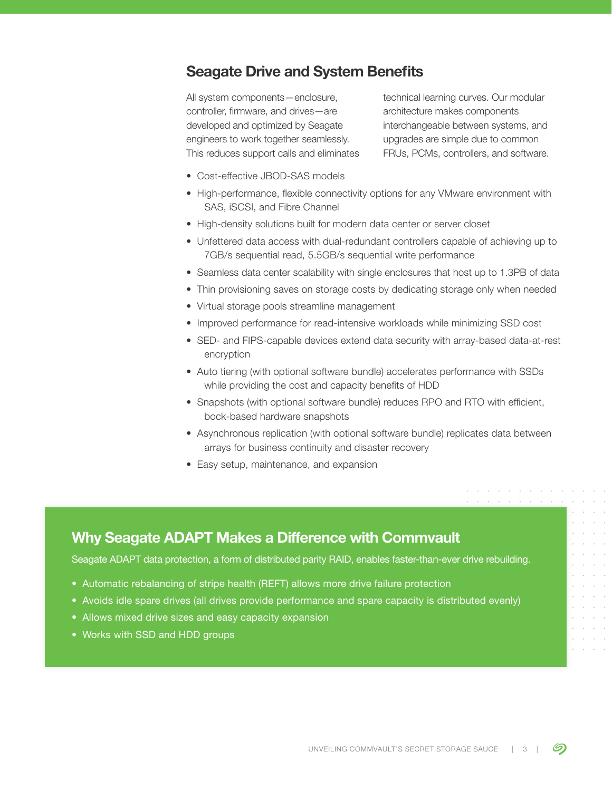### Seagate Drive and System Benefits

All system components—enclosure, controller, firmware, and drives—are developed and optimized by Seagate engineers to work together seamlessly. This reduces support calls and eliminates

technical learning curves. Our modular architecture makes components interchangeable between systems, and upgrades are simple due to common FRUs, PCMs, controllers, and software.

- Cost-effective JBOD-SAS models
- High-performance, flexible connectivity options for any VMware environment with SAS, iSCSI, and Fibre Channel
- High-density solutions built for modern data center or server closet
- Unfettered data access with dual-redundant controllers capable of achieving up to 7GB/s sequential read, 5.5GB/s sequential write performance
- Seamless data center scalability with single enclosures that host up to 1.3PB of data
- Thin provisioning saves on storage costs by dedicating storage only when needed
- Virtual storage pools streamline management
- Improved performance for read-intensive workloads while minimizing SSD cost
- SED- and FIPS-capable devices extend data security with array-based data-at-rest encryption
- Auto tiering (with optional software bundle) accelerates performance with SSDs while providing the cost and capacity benefits of HDD
- Snapshots (with optional software bundle) reduces RPO and RTO with efficient, bock-based hardware snapshots
- Asynchronous replication (with optional software bundle) replicates data between arrays for business continuity and disaster recovery
- Easy setup, maintenance, and expansion

#### Why Seagate ADAPT Makes a Difference with Commvault

Seagate ADAPT data protection, a form of distributed parity RAID, enables faster-than-ever drive rebuilding.

- Automatic rebalancing of stripe health (REFT) allows more drive failure protection
- Avoids idle spare drives (all drives provide performance and spare capacity is distributed evenly)
- Allows mixed drive sizes and easy capacity expansion
- Works with SSD and HDD groups